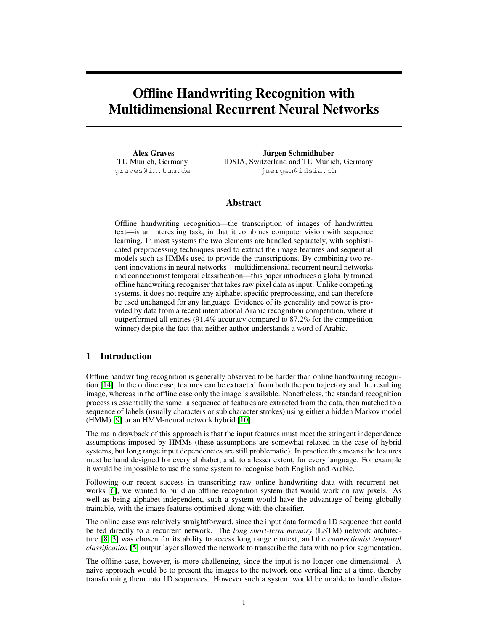# Offline Handwriting Recognition with Multidimensional Recurrent Neural Networks

Alex Graves TU Munich, Germany graves@in.tum.de

Jürgen Schmidhuber IDSIA, Switzerland and TU Munich, Germany juergen@idsia.ch

## Abstract

Offline handwriting recognition—the transcription of images of handwritten text—is an interesting task, in that it combines computer vision with sequence learning. In most systems the two elements are handled separately, with sophisticated preprocessing techniques used to extract the image features and sequential models such as HMMs used to provide the transcriptions. By combining two recent innovations in neural networks—multidimensional recurrent neural networks and connectionist temporal classification—this paper introduces a globally trained offline handwriting recogniser that takes raw pixel data as input. Unlike competing systems, it does not require any alphabet specific preprocessing, and can therefore be used unchanged for any language. Evidence of its generality and power is provided by data from a recent international Arabic recognition competition, where it outperformed all entries (91.4% accuracy compared to 87.2% for the competition winner) despite the fact that neither author understands a word of Arabic.

## 1 Introduction

Offline handwriting recognition is generally observed to be harder than online handwriting recognition [\[14\]](#page-7-1). In the online case, features can be extracted from both the pen trajectory and the resulting image, whereas in the offline case only the image is available. Nonetheless, the standard recognition process is essentially the same: a sequence of features are extracted from the data, then matched to a sequence of labels (usually characters or sub character strokes) using either a hidden Markov model (HMM) [\[9\]](#page-7-2) or an HMM-neural network hybrid [\[10\]](#page-7-3).

The main drawback of this approach is that the input features must meet the stringent independence assumptions imposed by HMMs (these assumptions are somewhat relaxed in the case of hybrid systems, but long range input dependencies are still problematic). In practice this means the features must be hand designed for every alphabet, and, to a lesser extent, for every language. For example it would be impossible to use the same system to recognise both English and Arabic.

Following our recent success in transcribing raw online handwriting data with recurrent networks [\[6\]](#page-7-4), we wanted to build an offline recognition system that would work on raw pixels. As well as being alphabet independent, such a system would have the advantage of being globally trainable, with the image features optimised along with the classifier.

The online case was relatively straightforward, since the input data formed a 1D sequence that could be fed directly to a recurrent network. The *long short-term memory* (LSTM) network architecture [\[8,](#page-7-5) [3\]](#page-7-6) was chosen for its ability to access long range context, and the *connectionist temporal classification* [\[5\]](#page-7-0) output layer allowed the network to transcribe the data with no prior segmentation.

The offline case, however, is more challenging, since the input is no longer one dimensional. A naive approach would be to present the images to the network one vertical line at a time, thereby transforming them into 1D sequences. However such a system would be unable to handle distor-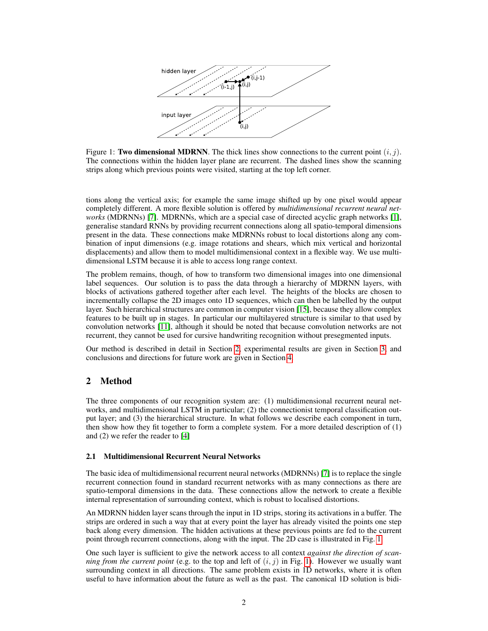

<span id="page-1-0"></span>Figure 1: Two dimensional MDRNN. The thick lines show connections to the current point  $(i, j)$ . The connections within the hidden layer plane are recurrent. The dashed lines show the scanning strips along which previous points were visited, starting at the top left corner.

tions along the vertical axis; for example the same image shifted up by one pixel would appear completely different. A more flexible solution is offered by *multidimensional recurrent neural networks* (MDRNNs) [\[7\]](#page-7-7). MDRNNs, which are a special case of directed acyclic graph networks [\[1\]](#page-7-8), generalise standard RNNs by providing recurrent connections along all spatio-temporal dimensions present in the data. These connections make MDRNNs robust to local distortions along any combination of input dimensions (e.g. image rotations and shears, which mix vertical and horizontal displacements) and allow them to model multidimensional context in a flexible way. We use multidimensional LSTM because it is able to access long range context.

The problem remains, though, of how to transform two dimensional images into one dimensional label sequences. Our solution is to pass the data through a hierarchy of MDRNN layers, with blocks of activations gathered together after each level. The heights of the blocks are chosen to incrementally collapse the 2D images onto 1D sequences, which can then be labelled by the output layer. Such hierarchical structures are common in computer vision [\[15\]](#page-7-9), because they allow complex features to be built up in stages. In particular our multilayered structure is similar to that used by convolution networks [\[11\]](#page-7-10), although it should be noted that because convolution networks are not recurrent, they cannot be used for cursive handwriting recognition without presegmented inputs.

Our method is described in detail in Section [2,](#page-1-1) experimental results are given in Section [3,](#page-5-0) and conclusions and directions for future work are given in Section [4.](#page-7-11)

## <span id="page-1-1"></span>2 Method

The three components of our recognition system are: (1) multidimensional recurrent neural networks, and multidimensional LSTM in particular; (2) the connectionist temporal classification output layer; and (3) the hierarchical structure. In what follows we describe each component in turn, then show how they fit together to form a complete system. For a more detailed description of (1) and (2) we refer the reader to [\[4\]](#page-7-12)

## 2.1 Multidimensional Recurrent Neural Networks

The basic idea of multidimensional recurrent neural networks (MDRNNs) [\[7\]](#page-7-7) is to replace the single recurrent connection found in standard recurrent networks with as many connections as there are spatio-temporal dimensions in the data. These connections allow the network to create a flexible internal representation of surrounding context, which is robust to localised distortions.

An MDRNN hidden layer scans through the input in 1D strips, storing its activations in a buffer. The strips are ordered in such a way that at every point the layer has already visited the points one step back along every dimension. The hidden activations at these previous points are fed to the current point through recurrent connections, along with the input. The 2D case is illustrated in Fig. [1.](#page-1-0)

One such layer is sufficient to give the network access to all context *against the direction of scanning from the current point* (e.g. to the top and left of  $(i, j)$  in Fig. [1\)](#page-1-0). However we usually want surrounding context in all directions. The same problem exists in 1D networks, where it is often useful to have information about the future as well as the past. The canonical 1D solution is bidi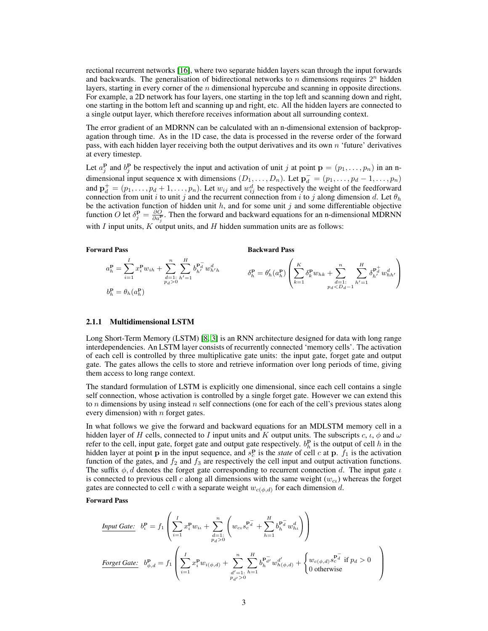rectional recurrent networks [\[16\]](#page-7-13), where two separate hidden layers scan through the input forwards and backwards. The generalisation of bidirectional networks to n dimensions requires  $2^n$  hidden layers, starting in every corner of the  $n$  dimensional hypercube and scanning in opposite directions. For example, a 2D network has four layers, one starting in the top left and scanning down and right, one starting in the bottom left and scanning up and right, etc. All the hidden layers are connected to a single output layer, which therefore receives information about all surrounding context.

The error gradient of an MDRNN can be calculated with an n-dimensional extension of backpropagation through time. As in the 1D case, the data is processed in the reverse order of the forward pass, with each hidden layer receiving both the output derivatives and its own n 'future' derivatives at every timestep.

Let  $a_j^{\mathbf{p}}$  and  $b_j^{\mathbf{p}}$  be respectively the input and activation of unit j at point  $\mathbf{p} = (p_1, \ldots, p_n)$  in an ndimensional input sequence x with dimensions  $(D_1, \ldots, D_n)$ . Let  $\mathbf{p}_d^- = (p_1, \ldots, p_d - 1, \ldots, p_n)$ and  $\mathbf{p}_d^+ = (p_1, \dots, p_d + 1, \dots, p_n)$ . Let  $w_{ij}$  and  $w_{ij}^d$  be respectively the weight of the feedforward connection from unit i to unit j and the recurrent connection from i to j along dimension d. Let  $\theta_h$ be the activation function of hidden unit  $h$ , and for some unit j and some differentiable objective function O let  $\delta_j^{\mathbf{p}} = \frac{\partial O}{\partial a_j^{\mathbf{p}}}$ . Then the forward and backward equations for an n-dimensional MDRNN with  $I$  input units,  $K$  output units, and  $H$  hidden summation units are as follows:

#### Forward Pass

Backward Pass

$$
a_h^{\mathbf{p}} = \sum_{i=1}^{I} x_i^{\mathbf{p}} w_{ih} + \sum_{\substack{d=1 \; \text{is} \; h'=1}}^{n} \sum_{h'=1}^{H} b_{h'}^{\mathbf{p}_d^-} w_{h'h}^d
$$
\n
$$
\delta_h^{\mathbf{p}} = \theta_h'(a_h^{\mathbf{p}}) \left( \sum_{k=1}^{K} \delta_k^{\mathbf{p}} w_{hk} + \sum_{\substack{d=1 \; \text{is} \; h'=1}}^{n} \sum_{h'=1}^{H} \delta_{h'}^{\mathbf{p}_d^+} w_{hh'}^d \right)
$$

#### 2.1.1 Multidimensional LSTM

Long Short-Term Memory (LSTM) [\[8,](#page-7-5) [3\]](#page-7-6) is an RNN architecture designed for data with long range interdependencies. An LSTM layer consists of recurrently connected 'memory cells'. The activation of each cell is controlled by three multiplicative gate units: the input gate, forget gate and output gate. The gates allows the cells to store and retrieve information over long periods of time, giving them access to long range context.

The standard formulation of LSTM is explicitly one dimensional, since each cell contains a single self connection, whose activation is controlled by a single forget gate. However we can extend this to n dimensions by using instead n self connections (one for each of the cell's previous states along every dimension) with  $n$  forget gates.

In what follows we give the forward and backward equations for an MDLSTM memory cell in a hidden layer of H cells, connected to I input units and K output units. The subscripts c,  $\iota$ ,  $\phi$  and  $\omega$ refer to the cell, input gate, forget gate and output gate respectively.  $b_h^{\mathbf{p}}$  is the output of cell h in the hidden layer at point **p** in the input sequence, and  $s_c^{\mathbf{p}}$  is the *state* of cell c at **p**.  $\bar{f}_1$  is the activation function of the gates, and  $f_2$  and  $f_3$  are respectively the cell input and output activation functions. The suffix  $\phi$ , d denotes the forget gate corresponding to recurrent connection d. The input gate  $\iota$ is connected to previous cell c along all dimensions with the same weight  $(w_{c_l})$  whereas the forget gates are connected to cell c with a separate weight  $w_{c(\phi,d)}$  for each dimension d.

#### Forward Pass

$$
\underline{\text{Input Gate:}} \quad b_t^{\mathbf{p}} = f_1 \left( \sum_{i=1}^I x_i^{\mathbf{p}} w_{i\iota} + \sum_{\substack{d=1:\\p_d>0}}^n \left( w_{c\iota} s_c^{\mathbf{p}_d^-} + \sum_{h=1}^H b_h^{\mathbf{p}_d^-} w_{h\iota}^d \right) \right)
$$
\n
$$
\underline{\text{forget Gate:}} \quad b_{\phi,d}^{\mathbf{p}} = f_1 \left( \sum_{i=1}^I x_i^{\mathbf{p}} w_{i(\phi,d)} + \sum_{\substack{d'=1:\\p_{d'}>0}}^n \sum_{h=1}^H b_h^{\mathbf{p}_d^-} w_{h(\phi,d)}^{d'} + \begin{cases} w_{c(\phi,d)} s_c^{\mathbf{p}_d^-} \text{ if } p_d > 0\\ 0 \text{ otherwise} \end{cases} \right)
$$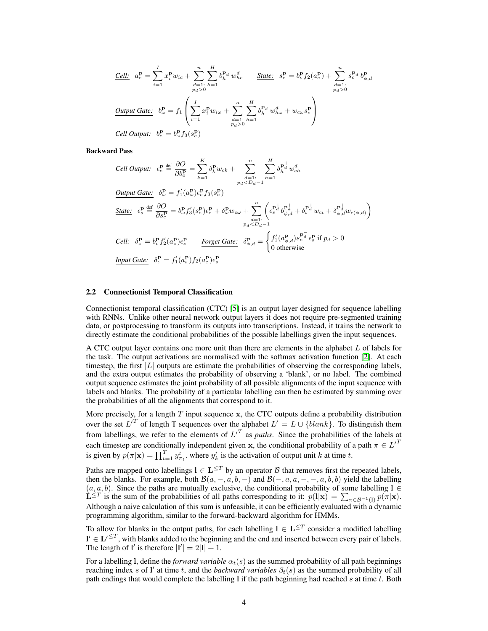$$
\underline{Cell:} \quad a_c^{\mathbf{p}} = \sum_{i=1}^{I} x_i^{\mathbf{p}} w_{ic} + \sum_{\substack{d=1 \text{ : } h=1}}^{n} \sum_{h=1}^{H} b_h^{\mathbf{p}_d^-} w_{hc}^d \qquad \underline{\text{State:}} \quad s_c^{\mathbf{p}} = b_c^{\mathbf{p}} f_2(a_c^{\mathbf{p}}) + \sum_{\substack{d=1 \text{ : } h=1}}^{n} s_c^{\mathbf{p}_d^-} b_{\phi,d}^{\mathbf{p}} \n\underline{\text{Output Gate:}} \quad b_{\omega}^{\mathbf{p}} = f_1 \left( \sum_{i=1}^{I} x_i^{\mathbf{p}} w_{i\omega} + \sum_{\substack{d=1 \text{ : } h=1}}^{n} \sum_{h=1}^{H} b_h^{\mathbf{p}_d^-} w_{h\omega}^d + w_{c\omega} s_c^{\mathbf{p}} \right) \n\underline{\text{Cell Output:}} \quad b_c^{\mathbf{p}} = b_{\omega}^{\mathbf{p}} f_3(s_c^{\mathbf{p}})
$$

Backward Pass

Cell Output: 
$$
\epsilon_c^{\mathbf{p}} \stackrel{\text{def}}{=} \frac{\partial O}{\partial b_c^{\mathbf{p}}} = \sum_{k=1}^K \delta_k^{\mathbf{p}} w_{ck} + \sum_{\substack{d=1 \text{:\n } \\ p_d < D_d - 1}}^n \sum_{h=1}^H \delta_h^{\mathbf{p}_d^+} w_{ch}^d
$$
\n
$$
\underbrace{Output \text{ Gate:}}_{\mathbf{p}_d^{\mathbf{p}}} \delta_{c}^{\mathbf{p}} = f'_1(a_c^{\mathbf{p}}) \epsilon_c^{\mathbf{p}} f_3(s_c^{\mathbf{p}})
$$
\n
$$
\underbrace{State:}_{\mathbf{p}_d^{\mathbf{p}}} \epsilon_s^{\mathbf{p}} \stackrel{\text{def}}{=} \frac{\partial O}{\partial s_c^{\mathbf{p}}} = b_c^{\mathbf{p}} f'_3(s_c^{\mathbf{p}}) \epsilon_c^{\mathbf{p}} + \delta_c^{\mathbf{p}} w_{cw} + \sum_{\substack{d=1 \text{:\n } \\ q_d < D_d - 1}}^n \left( \epsilon_s^{\mathbf{p}_d^+} b_{\phi,d}^{\mathbf{p}_d^+} + \delta_t^{\mathbf{p}_d^+} w_{cc} + \delta_{\phi,d}^{\mathbf{p}_d^+} w_{c(\phi,d)} \right)
$$
\n
$$
\underbrace{Cell:}_{\mathbf{p}_d^{\mathbf{p}}} \delta_c^{\mathbf{p}} = b_c^{\mathbf{p}} f'_2(a_c^{\mathbf{p}}) \epsilon_c^{\mathbf{p}} \qquad \underbrace{Forget \text{ Gate:}}_{\phi,d} \delta_{\phi,d}^{\mathbf{p}} = \begin{cases} f'_1(a_{\phi,d}^{\mathbf{p}}) s_c^{\mathbf{p}_d^+} \epsilon_s^{\mathbf{p}} \text{ if } p_d > 0\\ 0 \text{ otherwise} \end{cases}
$$
\n
$$
\underbrace{Input \text{ Gate:}}_{\phi_c^{\mathbf{p}}} \delta_c^{\mathbf{p}} = f'_1(a_c^{\mathbf{p}}) f_2(a_c^{\mathbf{p}}) \epsilon_c^{\mathbf{p}} \qquad \text{for } \phi_c^{\mathbf{p}} = \begin{cases} f'_1(a_{\phi,d}^{\mathbf{p}}) s_c^{\mathbf{p}_d^+} \epsilon_s^{\mathbf{p}} \text{ if }
$$

#### 2.2 Connectionist Temporal Classification

Connectionist temporal classification (CTC) [\[5\]](#page-7-0) is an output layer designed for sequence labelling with RNNs. Unlike other neural network output layers it does not require pre-segmented training data, or postprocessing to transform its outputs into transcriptions. Instead, it trains the network to directly estimate the conditional probabilities of the possible labellings given the input sequences.

A CTC output layer contains one more unit than there are elements in the alphabet L of labels for the task. The output activations are normalised with the softmax activation function [\[2\]](#page-7-14). At each timestep, the first  $|L|$  outputs are estimate the probabilities of observing the corresponding labels, and the extra output estimates the probability of observing a 'blank', or no label. The combined output sequence estimates the joint probability of all possible alignments of the input sequence with labels and blanks. The probability of a particular labelling can then be estimated by summing over the probabilities of all the alignments that correspond to it.

More precisely, for a length  $T$  input sequence  $x$ , the CTC outputs define a probability distribution over the set  $L^{T}$  of length T sequences over the alphabet  $L' = L \cup \{blank\}$ . To distinguish them from labellings, we refer to the elements of  $L^{T}$  as *paths*. Since the probabilities of the labels at each timestep are conditionally independent given x, the conditional probability of a path  $\pi \in L^{T}$ is given by  $p(\pi|\mathbf{x}) = \prod_{t=1}^T y_{\pi_t}^t$ , where  $y_k^t$  is the activation of output unit k at time t.

Paths are mapped onto labellings  $l \in L^{\leq T}$  by an operator B that removes first the repeated labels, then the blanks. For example, both  $\mathcal{B}(a, -, a, b, -)$  and  $\mathcal{B}(-, a, a, -, -, a, b, b)$  yield the labelling  $(a, a, b)$ . Since the paths are mutually exclusive, the conditional probability of some labelling  $l \in \mathbb{Z}$ .  $\mathbf{L}^{\leq T}$  is the sum of the probabilities of all paths corresponding to it:  $p(\mathbf{l}|\mathbf{x}) = \sum_{\pi \in \mathcal{B}^{-1}(\mathbf{l})} p(\pi|\mathbf{x})$ . Although a naive calculation of this sum is unfeasible, it can be efficiently evaluated with a dynamic programming algorithm, similar to the forward-backward algorithm for HMMs.

To allow for blanks in the output paths, for each labelling  $l \in L^{\leq T}$  consider a modified labelling  $\mathbf{l}' \in \mathbf{L}'^{\leq T}$ , with blanks added to the beginning and the end and inserted between every pair of labels.<br>The length of  $\mathbf{l}'$  is therefore  $|\mathbf{l}'| = 2|\mathbf{l}| + 1$ .

For a labelling l, define the *forward variable*  $\alpha_t(s)$  as the summed probability of all path beginnings reaching index s of l' at time t, and the *backward variables*  $\beta_t(s)$  as the summed probability of all path endings that would complete the labelling  $l$  if the path beginning had reached s at time  $t$ . Both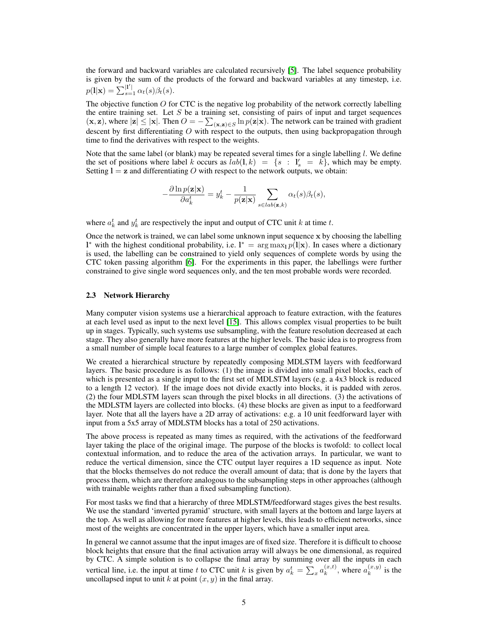the forward and backward variables are calculated recursively [\[5\]](#page-7-0). The label sequence probability is given by the sum of the products of the forward and backward variables at any timestep, i.e.  $p(1|\mathbf{x}) = \sum_{s=1}^{|1'|} \alpha_t(s) \beta_t(s).$ 

The objective function  $O$  for CTC is the negative log probability of the network correctly labelling the entire training set. Let  $S$  be a training set, consisting of pairs of input and target sequences  $(\mathbf{x}, \mathbf{z})$ , where  $|\mathbf{z}| \le |\mathbf{x}|$ . Then  $O = -\sum_{(\mathbf{x}, \mathbf{z}) \in S} \ln p(\mathbf{z}|\mathbf{x})$ . The network can be trained with gradient descent by first differentiating  $O$  with respect to the outputs, then using backpropagation through time to find the derivatives with respect to the weights.

Note that the same label (or blank) may be repeated several times for a single labelling  $l$ . We define the set of positions where label k occurs as  $lab(1, k) = \{s : l'_s = k\}$ , which may be empty. Setting  $l = z$  and differentiating O with respect to the network outputs, we obtain:

$$
-\frac{\partial \ln p(\mathbf{z}|\mathbf{x})}{\partial a_k^t} = y_k^t - \frac{1}{p(\mathbf{z}|\mathbf{x})} \sum_{s \in lab(\mathbf{z},k)} \alpha_t(s)\beta_t(s),
$$

where  $a_k^t$  and  $y_k^t$  are respectively the input and output of CTC unit k at time t.

Once the network is trained, we can label some unknown input sequence x by choosing the labelling l<sup>\*</sup> with the highest conditional probability, i.e. l<sup>\*</sup> = arg max<sub>l</sub>  $p(1|x)$ . In cases where a dictionary is used, the labelling can be constrained to yield only sequences of complete words by using the CTC token passing algorithm [\[6\]](#page-7-4). For the experiments in this paper, the labellings were further constrained to give single word sequences only, and the ten most probable words were recorded.

#### <span id="page-4-0"></span>2.3 Network Hierarchy

Many computer vision systems use a hierarchical approach to feature extraction, with the features at each level used as input to the next level [\[15\]](#page-7-9). This allows complex visual properties to be built up in stages. Typically, such systems use subsampling, with the feature resolution decreased at each stage. They also generally have more features at the higher levels. The basic idea is to progress from a small number of simple local features to a large number of complex global features.

We created a hierarchical structure by repeatedly composing MDLSTM layers with feedforward layers. The basic procedure is as follows: (1) the image is divided into small pixel blocks, each of which is presented as a single input to the first set of MDLSTM layers (e.g. a 4x3 block is reduced to a length 12 vector). If the image does not divide exactly into blocks, it is padded with zeros. (2) the four MDLSTM layers scan through the pixel blocks in all directions. (3) the activations of the MDLSTM layers are collected into blocks. (4) these blocks are given as input to a feedforward layer. Note that all the layers have a 2D array of activations: e.g. a 10 unit feedforward layer with input from a 5x5 array of MDLSTM blocks has a total of 250 activations.

The above process is repeated as many times as required, with the activations of the feedforward layer taking the place of the original image. The purpose of the blocks is twofold: to collect local contextual information, and to reduce the area of the activation arrays. In particular, we want to reduce the vertical dimension, since the CTC output layer requires a 1D sequence as input. Note that the blocks themselves do not reduce the overall amount of data; that is done by the layers that process them, which are therefore analogous to the subsampling steps in other approaches (although with trainable weights rather than a fixed subsampling function).

For most tasks we find that a hierarchy of three MDLSTM/feedforward stages gives the best results. We use the standard 'inverted pyramid' structure, with small layers at the bottom and large layers at the top. As well as allowing for more features at higher levels, this leads to efficient networks, since most of the weights are concentrated in the upper layers, which have a smaller input area.

In general we cannot assume that the input images are of fixed size. Therefore it is difficult to choose block heights that ensure that the final activation array will always be one dimensional, as required by CTC. A simple solution is to collapse the final array by summing over all the inputs in each vertical line, i.e. the input at time t to CTC unit k is given by  $a_k^t = \sum_x a_k^{(x,t)}$ , where  $a_k^{(x,y)}$  is the uncollapsed input to unit  $k$  at point  $(x, y)$  in the final array.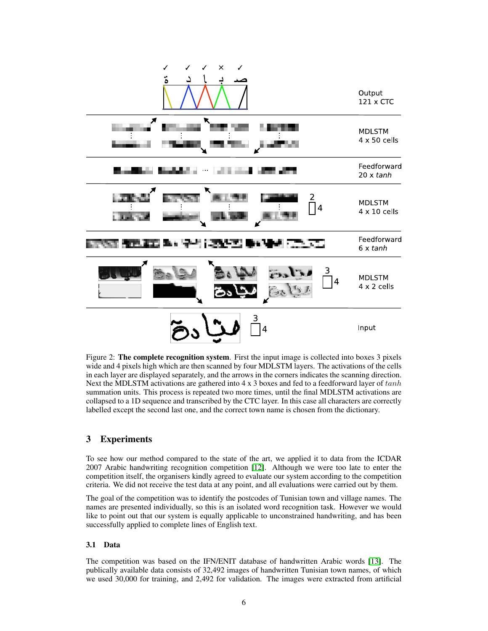

<span id="page-5-1"></span>Figure 2: **The complete recognition system**. First the input image is collected into boxes 3 pixels wide and 4 pixels high which are then scanned by four MDLSTM layers. The activations of the cells in each layer are displayed separately, and the arrows in the corners indicates the scanning direction. Next the MDLSTM activations are gathered into  $4 \times 3$  boxes and fed to a feedforward layer of  $tanh$ summation units. This process is repeated two more times, until the final MDLSTM activations are collapsed to a 1D sequence and transcribed by the CTC layer. In this case all characters are correctly labelled except the second last one, and the correct town name is chosen from the dictionary.

## <span id="page-5-0"></span>3 Experiments

To see how our method compared to the state of the art, we applied it to data from the ICDAR 2007 Arabic handwriting recognition competition [\[12\]](#page-7-16). Although we were too late to enter the competition itself, the organisers kindly agreed to evaluate our system according to the competition criteria. We did not receive the test data at any point, and all evaluations were carried out by them.

The goal of the competition was to identify the postcodes of Tunisian town and village names. The names are presented individually, so this is an isolated word recognition task. However we would like to point out that our system is equally applicable to unconstrained handwriting, and has been successfully applied to complete lines of English text.

## 3.1 Data

The competition was based on the IFN/ENIT database of handwritten Arabic words [\[13\]](#page-7-15). The publically available data consists of 32,492 images of handwritten Tunisian town names, of which we used 30,000 for training, and 2,492 for validation. The images were extracted from artificial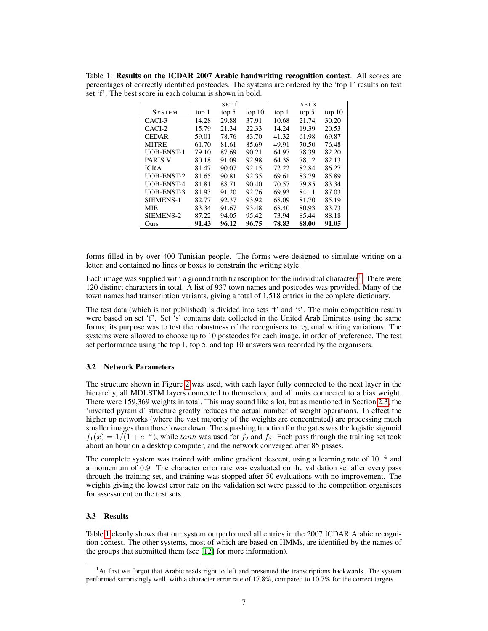<span id="page-6-1"></span>Table 1: Results on the ICDAR 2007 Arabic handwriting recognition contest. All scores are percentages of correctly identified postcodes. The systems are ordered by the 'top 1' results on test set 'f'. The best score in each column is shown in bold.

|                   |       | SET f |        |       | SET S |        |
|-------------------|-------|-------|--------|-------|-------|--------|
| <b>SYSTEM</b>     | top 1 | top 5 | top 10 | top 1 | top 5 | top 10 |
| CACI-3            | 14.28 | 29.88 | 37.91  | 10.68 | 21.74 | 30.20  |
| CACI-2            | 15.79 | 21.34 | 22.33  | 14.24 | 19.39 | 20.53  |
| <b>CEDAR</b>      | 59.01 | 78.76 | 83.70  | 41.32 | 61.98 | 69.87  |
| <b>MITRE</b>      | 61.70 | 81.61 | 85.69  | 49.91 | 70.50 | 76.48  |
| <b>UOB-ENST-1</b> | 79.10 | 87.69 | 90.21  | 64.97 | 78.39 | 82.20  |
| <b>PARIS V</b>    | 80.18 | 91.09 | 92.98  | 64.38 | 78.12 | 82.13  |
| <b>ICRA</b>       | 81.47 | 90.07 | 92.15  | 72.22 | 82.84 | 86.27  |
| <b>UOB-ENST-2</b> | 81.65 | 90.81 | 92.35  | 69.61 | 83.79 | 85.89  |
| <b>UOB-ENST-4</b> | 81.81 | 88.71 | 90.40  | 70.57 | 79.85 | 83.34  |
| <b>UOB-ENST-3</b> | 81.93 | 91.20 | 92.76  | 69.93 | 84.11 | 87.03  |
| SIEMENS-1         | 82.77 | 92.37 | 93.92  | 68.09 | 81.70 | 85.19  |
| <b>MIE</b>        | 83.34 | 91.67 | 93.48  | 68.40 | 80.93 | 83.73  |
| SIEMENS-2         | 87.22 | 94.05 | 95.42  | 73.94 | 85.44 | 88.18  |
| Ours              | 91.43 | 96.12 | 96.75  | 78.83 | 88.00 | 91.05  |

forms filled in by over 400 Tunisian people. The forms were designed to simulate writing on a letter, and contained no lines or boxes to constrain the writing style.

Each image was supplied with a ground truth transcription for the individual characters<sup>1</sup>. There were 120 distinct characters in total. A list of 937 town names and postcodes was provided. Many of the town names had transcription variants, giving a total of 1,518 entries in the complete dictionary.

The test data (which is not published) is divided into sets 'f' and 's'. The main competition results were based on set 'f'. Set 's' contains data collected in the United Arab Emirates using the same forms; its purpose was to test the robustness of the recognisers to regional writing variations. The systems were allowed to choose up to 10 postcodes for each image, in order of preference. The test set performance using the top 1, top 5, and top 10 answers was recorded by the organisers.

#### 3.2 Network Parameters

The structure shown in Figure [2](#page-5-1) was used, with each layer fully connected to the next layer in the hierarchy, all MDLSTM layers connected to themselves, and all units connected to a bias weight. There were 159,369 weights in total. This may sound like a lot, but as mentioned in Section [2.3,](#page-4-0) the 'inverted pyramid' structure greatly reduces the actual number of weight operations. In effect the higher up networks (where the vast majority of the weights are concentrated) are processing much smaller images than those lower down. The squashing function for the gates was the logistic sigmoid  $f_1(x) = 1/(1 + e^{-x})$ , while tanh was used for  $f_2$  and  $f_3$ . Each pass through the training set took about an hour on a desktop computer, and the network converged after 85 passes.

The complete system was trained with online gradient descent, using a learning rate of  $10^{-4}$  and a momentum of 0.9. The character error rate was evaluated on the validation set after every pass through the training set, and training was stopped after 50 evaluations with no improvement. The weights giving the lowest error rate on the validation set were passed to the competition organisers for assessment on the test sets.

## 3.3 Results

Table [1](#page-6-1) clearly shows that our system outperformed all entries in the 2007 ICDAR Arabic recognition contest. The other systems, most of which are based on HMMs, are identified by the names of the groups that submitted them (see [\[12\]](#page-7-16) for more information).

<span id="page-6-0"></span><sup>&</sup>lt;sup>1</sup>At first we forgot that Arabic reads right to left and presented the transcriptions backwards. The system performed surprisingly well, with a character error rate of 17.8%, compared to 10.7% for the correct targets.